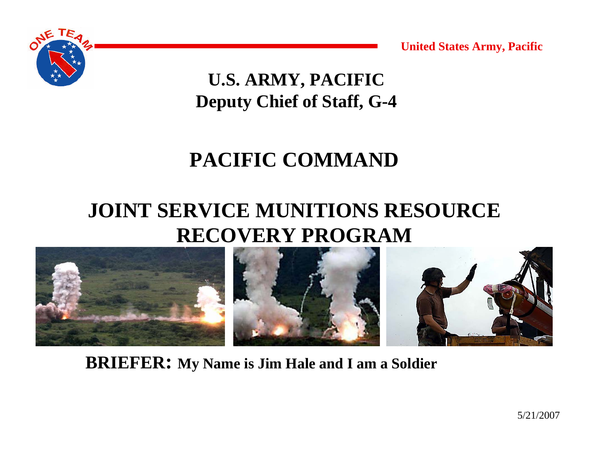

**U.S. ARMY, PACIFIC Deputy Chief of Staff, G-4**

### **PACIFIC COMMAND**

### **JOINT SERVICE MUNITIONS RESOURCE RECOVERY PROGRAM**



**BRIEFER: My Name is Jim Hale and I am a Soldier**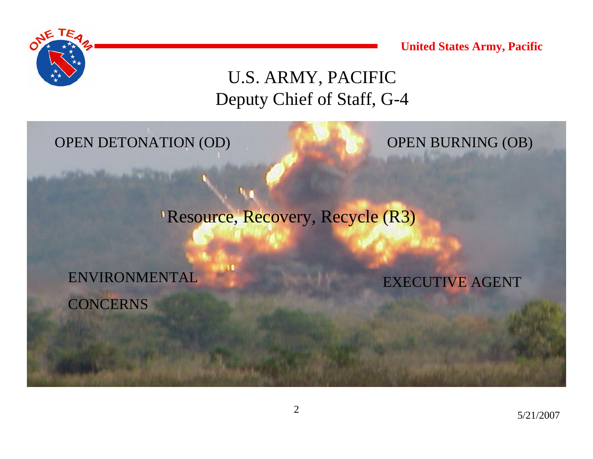

#### U.S. ARMY, PACIFIC Deputy Chief of Staff, G-4

OPEN DETONATION (OD) OPEN BURNING (OB)

Resource, Recovery, Recycle (R3)

ENVIRONMENTAL CONCERNS

EXECUTIVE AGENT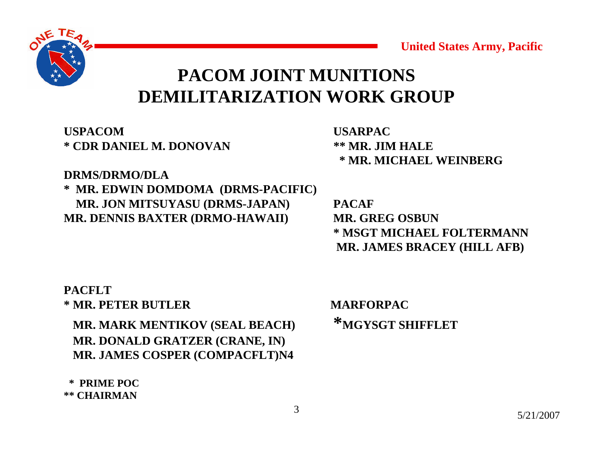

#### **PACOM JOINT MUNITIONSDEMILITARIZATION WORK GROUP**

**USPACOM\* CDR DANIEL M. DONOVAN**

 **USARPAC \*\* MR. JIM HALE \* MR. MICHAEL WEINBERG**

#### **DRMS/DRMO/DLA**

**\* MR. EDWIN DOMDOMA (DRMS-PACIFIC) MR. JON MITSUYASU (DRMS-JAPAN) PACAF MR. DENNIS BAXTER (DRMO-HAWAII) MR. GREG OSBUN** 

**\* MSGT MICHAEL FOLTERMANNMR. JAMES BRACEY (HILL AFB)**

#### **PACFLT\* MR. PETER BUTLER MARFORPAC**

**MR. MARK MENTIKOV (SEAL BEACH)** <sup>\*</sup>MGYSGT SHIFFLET **MR. DONALD GRATZER (CRANE, IN) MR. JAMES COSPER (COMPACFLT)N4**

**\* PRIME POC\*\* CHAIRMAN**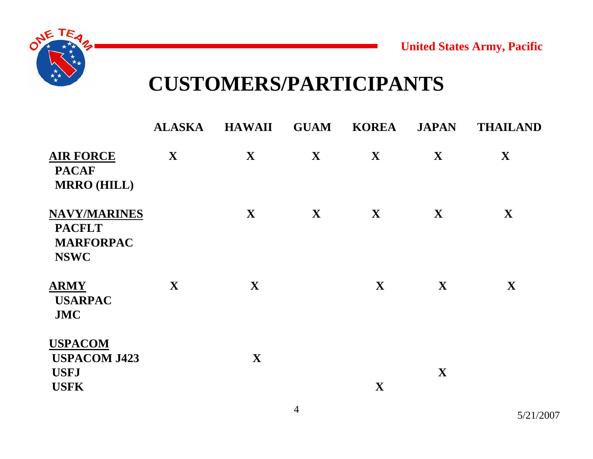



### **CUSTOMERS/PARTICIPANTS**

|                                                                         | <b>ALASKA</b> | <b>HAWAII</b> | <b>GUAM</b>  | <b>KOREA</b> | <b>JAPAN</b> | <b>THAILAND</b> |
|-------------------------------------------------------------------------|---------------|---------------|--------------|--------------|--------------|-----------------|
| <b>AIR FORCE</b><br><b>PACAF</b><br><b>MRRO (HILL)</b>                  | X             | $\mathbf{X}$  | $\mathbf{X}$ | $\mathbf{X}$ | $\mathbf{X}$ | $\mathbf{X}$    |
| <b>NAVY/MARINES</b><br><b>PACFLT</b><br><b>MARFORPAC</b><br><b>NSWC</b> |               | X             | X            | X            | $\mathbf{X}$ | $\mathbf{X}$    |
| <b>ARMY</b><br><b>USARPAC</b><br><b>JMC</b>                             | X             | $\mathbf{X}$  |              | $\mathbf{X}$ | $\mathbf{X}$ | X               |
| <b>USPACOM</b><br><b>USPACOM J423</b><br><b>USFJ</b><br><b>USFK</b>     |               | $\mathbf{X}$  |              | $\mathbf{X}$ | $\mathbf X$  |                 |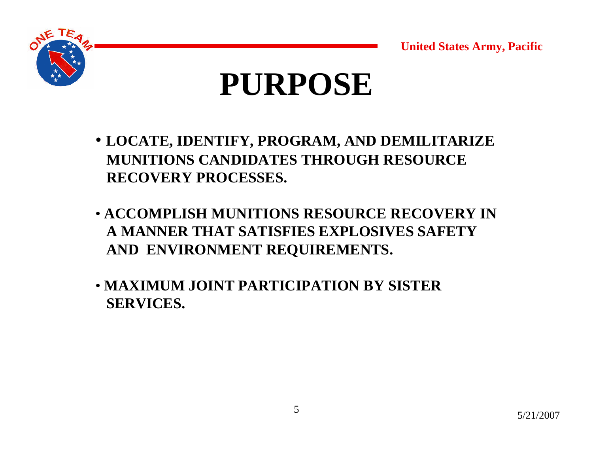

# **PURPOSE**

- **LOCATE, IDENTIFY, PROGRAM, AND DEMILITARIZE MUNITIONS CANDIDATES THROUGH RESOURCE RECOVERY PROCESSES.**
- **ACCOMPLISH MUNITIONS RESOURCE RECOVERY IN A MANNER THAT SATISFIES EXPLOSIVES SAFETY AND ENVIRONMENT REQUIREMENTS.**
- **MAXIMUM JOINT PARTICIPATION BY SISTERSERVICES.**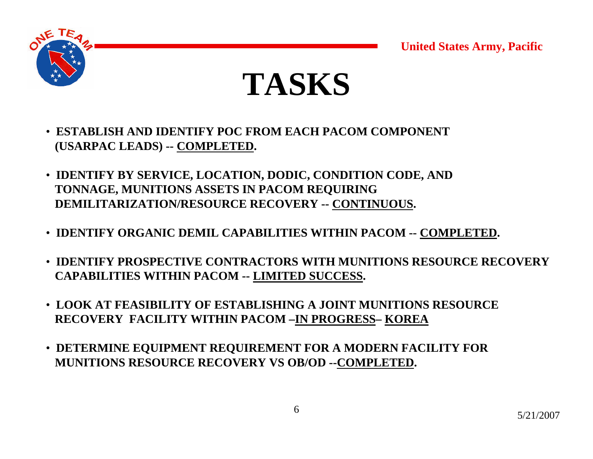





- **ESTABLISH AND IDENTIFY POC FROM EACH PACOM COMPONENT (USARPAC LEADS) -- COMPLETED.**
- **IDENTIFY BY SERVICE, LOCATION, DODIC, CONDITION CODE, AND TONNAGE, MUNITIONS ASSETS IN PACOM REQUIRING DEMILITARIZATION/RESOURCE RECOVERY -- CONTINUOUS.**
- **IDENTIFY ORGANIC DEMIL CAPABILITIES WITHIN PACOM -- COMPLETED.**
- **IDENTIFY PROSPECTIVE CONTRACTORS WITH MUNITIONS RESOURCE RECOVERY CAPABILITIES WITHIN PACOM -- LIMITED SUCCESS.**
- **LOOK AT FEASIBILITY OF ESTABLISHING A JOINT MUNITIONS RESOURCERECOVERY FACILITY WITHIN PACOM –IN PROGRESS– KOREA**
- **DETERMINE EQUIPMENT REQUIREMENT FOR A MODERN FACILITY FOR MUNITIONS RESOURCE RECOVERY VS OB/OD --COMPLETED.**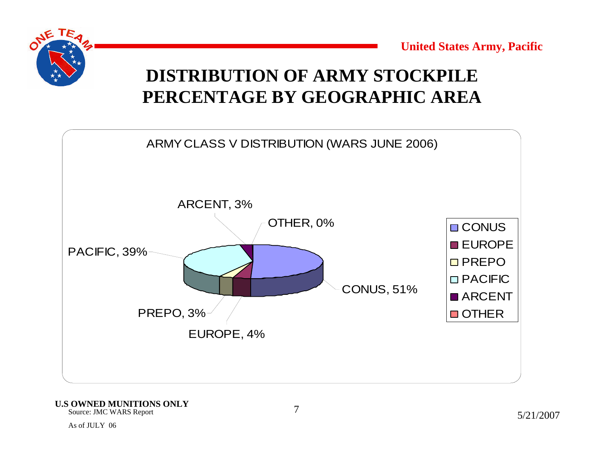

#### **DISTRIBUTION OF ARMY STOCKPILEPERCENTAGE BY GEOGRAPHIC AREA**



Source: JMC WARS Report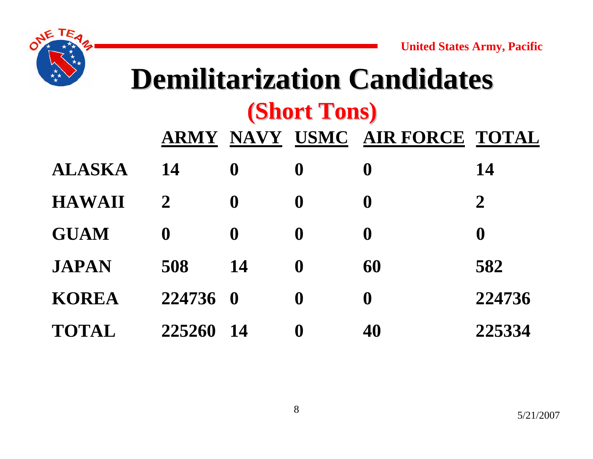

## **Demilitarization Candidates Demilitarization Candidates (Short Tons) (Short Tons)**

|               | <b>ARMY</b>  |                  | NAVY USMC        | <b>AIR FORCE TOTAL</b> |                  |
|---------------|--------------|------------------|------------------|------------------------|------------------|
| <b>ALASKA</b> | 14           | $\bf{0}$         | $\bf{0}$         | $\bf{0}$               | 14               |
| <b>HAWAII</b> | $\mathbf{2}$ | $\boldsymbol{0}$ | $\boldsymbol{0}$ | $\boldsymbol{0}$       | $\overline{2}$   |
| <b>GUAM</b>   | $\mathbf 0$  | $\boldsymbol{0}$ | $\boldsymbol{0}$ | $\bf{0}$               | $\boldsymbol{0}$ |
| <b>JAPAN</b>  | 508          | 14               | $\boldsymbol{0}$ | 60                     | 582              |
| <b>KOREA</b>  | 224736 0     |                  | $\boldsymbol{0}$ | $\boldsymbol{0}$       | 224736           |
| <b>TOTAL</b>  | 225260       | 14               | $\bf{0}$         | 40                     | 225334           |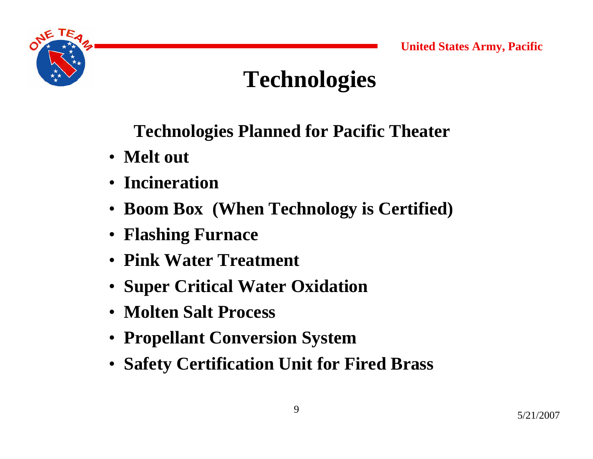

## **Technologies**

### **Technologies Planned for Pacific Theater**

- **Melt out**
- **Incineration**
- **Boom Box (When Technology is Certified)**
- **Flashing Furnace**
- **Pink Water Treatment**
- **Super Critical Water Oxidation**
- **Molten Salt Process**
- **Propellant Conversion System**
- **Safety Certification Unit for Fired Brass**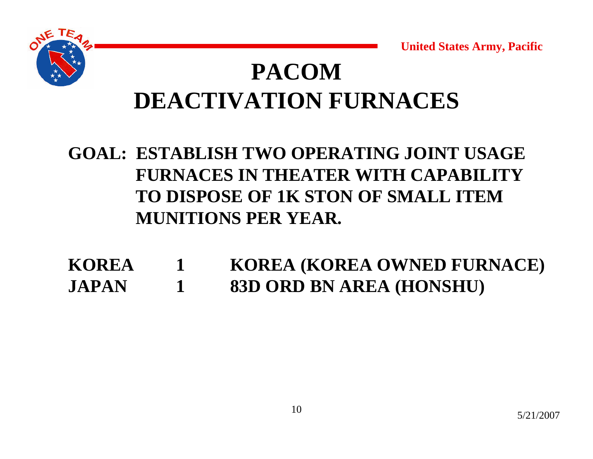

## **PACOMDEACTIVATION FURNACES**

### **GOAL: ESTABLISH TWO OPERATING JOINT USAGE FURNACES IN THEATER WITH CAPABILITYTO DISPOSE OF 1K STON OF SMALL ITEM MUNITIONS PER YEAR.**

**KOREA 1 KOREA (KOREA OWNED FURNACE) JAPAN 1 83D ORD BN AREA (HONSHU)**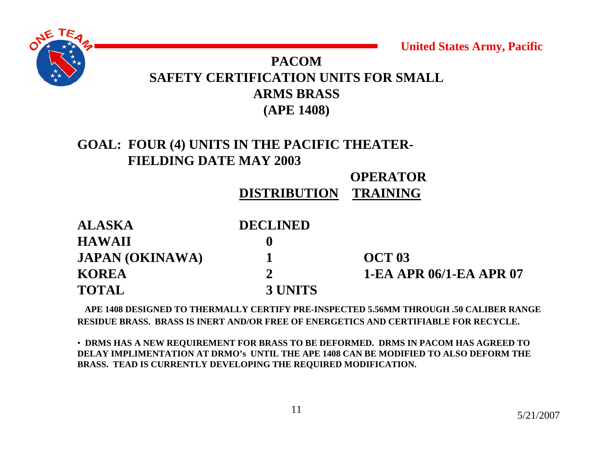

#### **PACOMSAFETY CERTIFICATION UNITS FOR SMALL ARMS BRASS (APE 1408)**

#### **GOAL: FOUR (4) UNITS IN THE PACIFIC THEATER-FIELDING DATE MAY 2003**

#### **OPERATOR**

#### **DISTRIBUTIONTRAINING**

| <b>ALASKA</b>          | <b>DECLINED</b> |                                |
|------------------------|-----------------|--------------------------------|
| <b>HAWAII</b>          |                 |                                |
| <b>JAPAN (OKINAWA)</b> |                 | <b>OCT 03</b>                  |
| <b>KOREA</b>           |                 | <b>1-EA APR 06/1-EA APR 07</b> |
| <b>TOTAL</b>           | 3 UNITS         |                                |

**APE 1408 DESIGNED TO THERMALLY CERTIFY PRE-INSPECTED 5.56MM THROUGH .50 CALIBER RANGE RESIDUE BRASS. BRASS IS INERT AND/OR FREE OF ENERGETICS AND CERTIFIABLE FOR RECYCLE.**

• **DRMS HAS A NEW REQUIREMENT FOR BRASS TO BE DEFORMED. DRMS IN PACOM HAS AGREED TO DELAY IMPLIMENTATION AT DRMO's UNTIL THE APE 1408 CAN BE MODIFIED TO ALSO DEFORM THE BRASS. TEAD IS CURRENTLY DEVELOPING THE REQUIRED MODIFICATION.**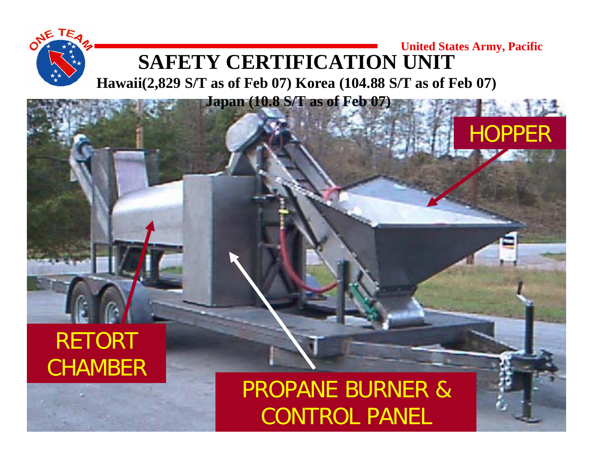#### **United States Army, Pacific SAFETY CERTIFICATION UNIT**

**Hawaii(2,829 S/T as of Feb 07) Korea (104.88 S/T as of Feb 07)**

**Japan (10.8 S/T as of Feb 07)**

## RETORT CHAMBER

## CONTROL PANEL TELLET PROPANE BURNER &

**HOPPER** 

 $A = 154$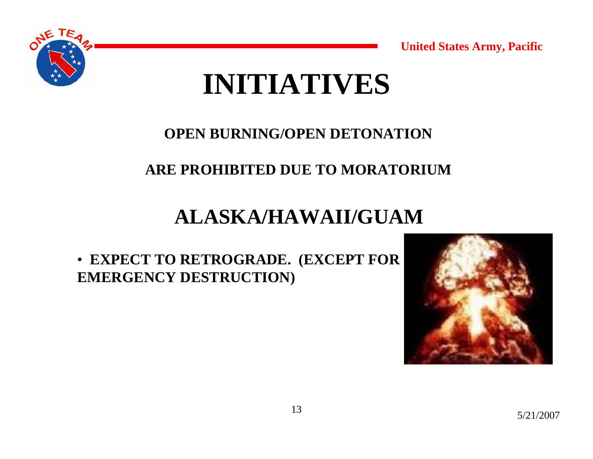





#### **OPEN BURNING/OPEN DETONATION**

#### **ARE PROHIBITED DUE TO MORATORIUM**

### **ALASKA/HAWAII/GUAM**

• **EXPECT TO RETROGRADE. (EXCEPT FOR EMERGENCY DESTRUCTION)**

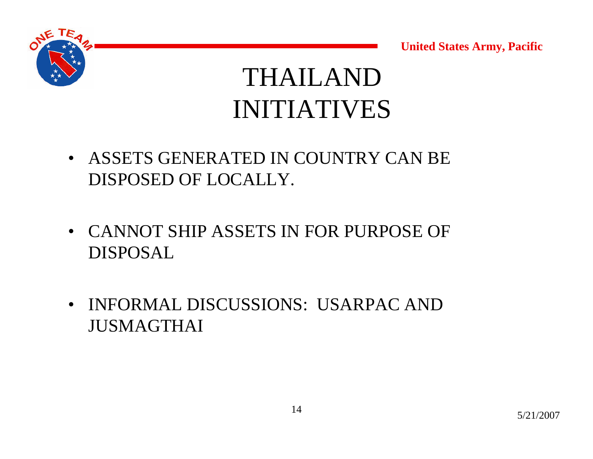



## THAILANDINITIATIVES

- ASSETS GENERATED IN COUNTRY CAN BE DISPOSED OF LOCALLY.
- CANNOT SHIP ASSETS IN FOR PURPOSE OF DISPOSAL
- INFORMAL DISCUSSIONS: USARPAC AND JUSMAGTHAI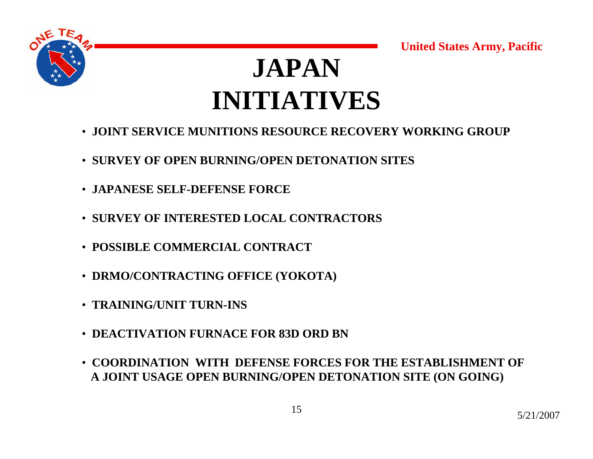



## **JAPANINITIATIVES**

- **JOINT SERVICE MUNITIONS RESOURCE RECOVERY WORKING GROUP**
- **SURVEY OF OPEN BURNING/OPEN DETONATION SITES**
- **JAPANESE SELF-DEFENSE FORCE**
- **SURVEY OF INTERESTED LOCAL CONTRACTORS**
- **POSSIBLE COMMERCIAL CONTRACT**
- **DRMO/CONTRACTING OFFICE (YOKOTA)**
- **TRAINING/UNIT TURN-INS**
- **DEACTIVATION FURNACE FOR 83D ORD BN**
- **COORDINATION WITH DEFENSE FORCES FOR THE ESTABLISHMENT OF A JOINT USAGE OPEN BURNING/OPEN DETONATION SITE (ON GOING)**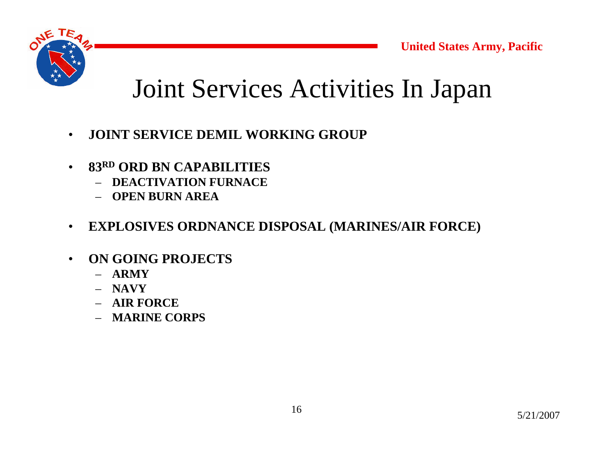

## Joint Services Activities In Japan

- •**JOINT SERVICE DEMIL WORKING GROUP**
- • **83RD ORD BN CAPABILITIES**
	- **DEACTIVATION FURNACE**
	- **OPEN BURN AREA**
- $\bullet$ **EXPLOSIVES ORDNANCE DISPOSAL (MARINES/AIR FORCE)**
- • **ON GOING PROJECTS**
	- **ARMY**
	- **NAVY**
	- **AIR FORCE**
	- **MARINE CORPS**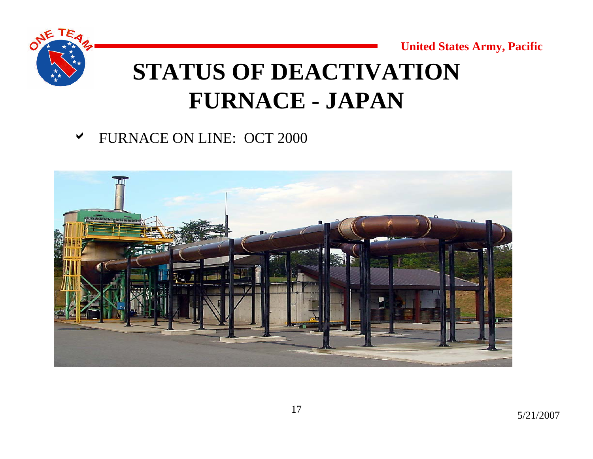



## **STATUS OF DEACTIVATION FURNACE - JAPAN**

#### **v** FURNACE ON LINE: OCT 2000

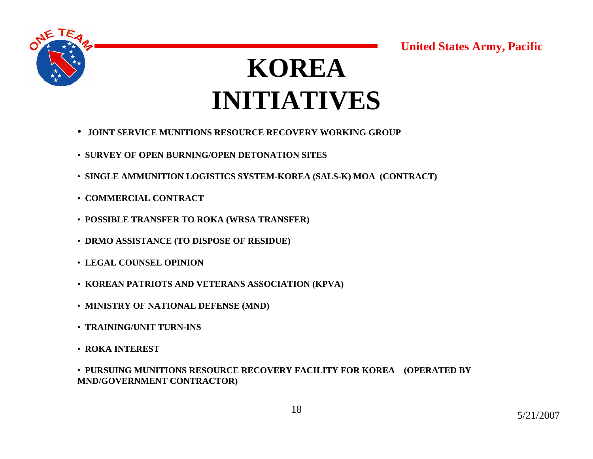

## **KOREAINITIATIVES**

- **JOINT SERVICE MUNITIONS RESOURCE RECOVERY WORKING GROUP**
- **SURVEY OF OPEN BURNING/OPEN DETONATION SITES**
- **SINGLE AMMUNITION LOGISTICS SYSTEM-KOREA (SALS-K) MOA (CONTRACT)**
- **COMMERCIAL CONTRACT**
- **POSSIBLE TRANSFER TO ROKA (WRSA TRANSFER)**
- **DRMO ASSISTANCE (TO DISPOSE OF RESIDUE)**
- **LEGAL COUNSEL OPINION**
- **KOREAN PATRIOTS AND VETERANS ASSOCIATION (KPVA)**
- **MINISTRY OF NATIONAL DEFENSE (MND)**
- **TRAINING/UNIT TURN-INS**
- **ROKA INTEREST**

• **PURSUING MUNITIONS RESOURCE RECOVERY FACILITY FOR KOREA (OPERATED BY MND/GOVERNMENT CONTRACTOR)**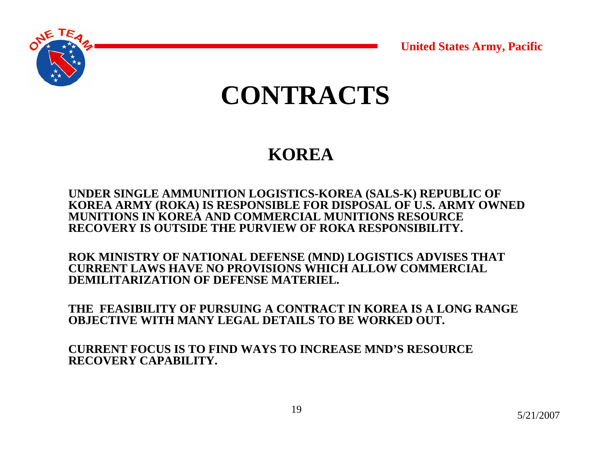

## **CONTRACTS**

### **KOREA**

**UNDER SINGLE AMMUNITION LOGISTICS-KOREA (SALS-K) REPUBLIC OF KOREA ARMY (ROKA) IS RESPONSIBLE FOR DISPOSAL OF U.S. ARMY OWNED MUNITIONS IN KOREA AND COMMERCIAL MUNITIONS RESOURCE RECOVERY IS OUTSIDE THE PURVIEW OF ROKA RESPONSIBILITY.**

**ROK MINISTRY OF NATIONAL DEFENSE (MND) LOGISTICS ADVISES THAT CURRENT LAWS HAVE NO PROVISIONS WHICH ALLOW COMMERCIAL DEMILITARIZATION OF DEFENSE MATERIEL.**

**THE FEASIBILITY OF PURSUING A CONTRACT IN KOREA IS A LONG RANGE OBJECTIVE WITH MANY LEGAL DETAILS TO BE WORKED OUT.**

**CURRENT FOCUS IS TO FIND WAYS TO INCREASE MND'S RESOURCE RECOVERY CAPABILITY.**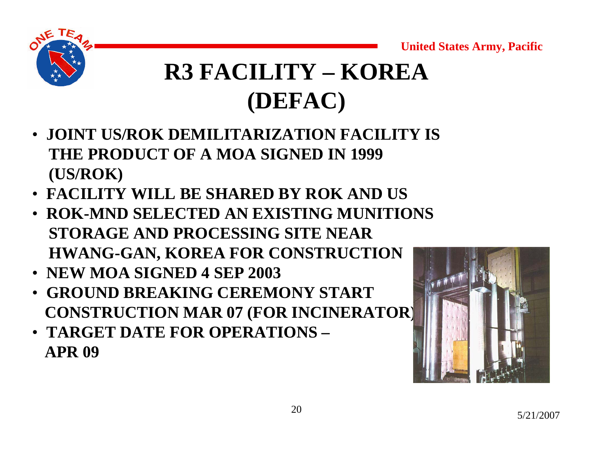

## **R3 FACILITY – KOREA(DEFAC)**

- **JOINT US/ROK DEMILITARIZATION FACILITY IS THE PRODUCT OF A MOA SIGNED IN 1999 (US/ROK)**
- **FACILITY WILL BE SHARED BY ROK AND US**
- **ROK-MND SELECTED AN EXISTING MUNITIONSSTORAGE AND PROCESSING SITE NEAR HWANG-GAN, KOREA FOR CONSTRUCTION**
- **NEW MOA SIGNED 4 SEP 2003**
- **GROUND BREAKING CEREMONY STARTCONSTRUCTION MAR 07 (FOR INCINERATOR)**
- **TARGET DATE FOR OPERATIONS –APR 09**

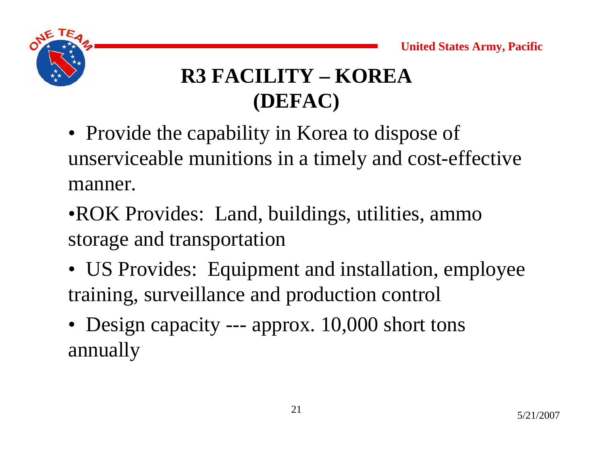

## **R3 FACILITY – KOREA(DEFAC)**

- Provide the capability in Korea to dispose of unserviceable munitions in a timely and cost-effective manner.
- •ROK Provides: Land, buildings, utilities, ammo storage and transportation
- US Provides: Equipment and installation, employee training, surveillance and production control
- Design capacity --- approx. 10,000 short tons annually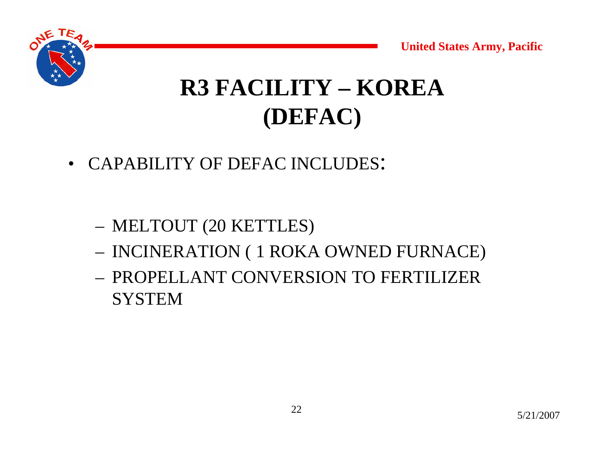

• CAPABILITY OF DEFAC INCLUDES:

- MELTOUT (20 KETTLES)
- INCINERATION ( 1 ROKA OWNED FURNACE)
- PROPELLANT CONVERSION TO FERTILIZER **SYSTEM**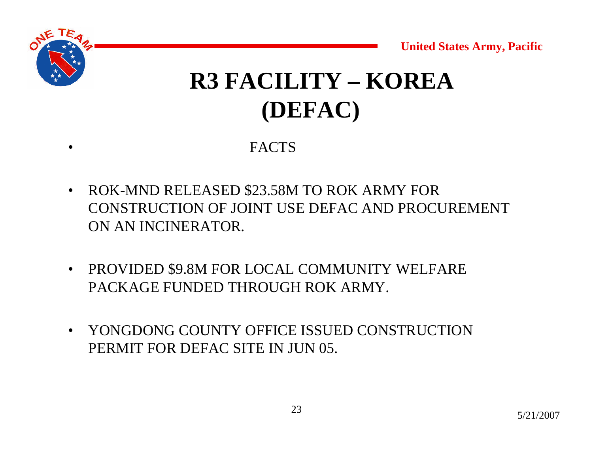## **R3 FACILITY – KOREA(DEFAC)**

**FACTS** 

•

- • ROK-MND RELEASED \$23.58M TO ROK ARMY FOR CONSTRUCTION OF JOINT USE DEFAC AND PROCUREMENT ON AN INCINERATOR.
- • PROVIDED \$9.8M FOR LOCAL COMMUNITY WELFARE PACKAGE FUNDED THROUGH ROK ARMY.
- $\bullet$  YONGDONG COUNTY OFFICE ISSUED CONSTRUCTION PERMIT FOR DEFAC SITE IN JUN 05.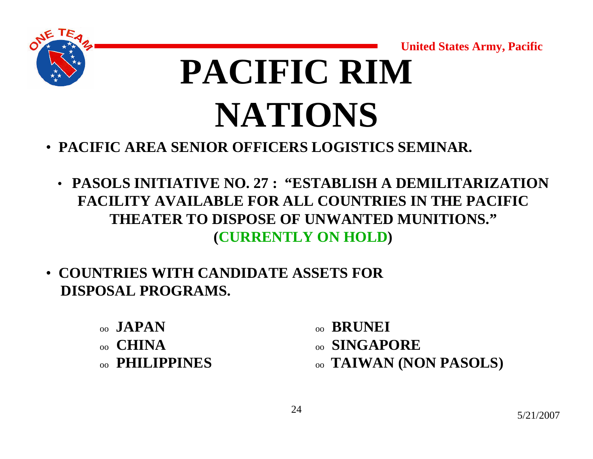

# **PACIFIC RIM NATIONS**

- **PACIFIC AREA SENIOR OFFICERS LOGISTICS SEMINAR.**
	- **PASOLS INITIATIVE NO. 27 : "ESTABLISH A DEMILITARIZATION FACILITY AVAILABLE FOR ALL COUNTRIES IN THE PACIFIC THEATER TO DISPOSE OF UNWANTED MUNITIONS."(CURRENTLY ON HOLD)**
- **COUNTRIES WITH CANDIDATE ASSETS FOR DISPOSAL PROGRAMS.**
	- oo **JAPAN**
	- oo **CHINA**oo **PHILIPPINES**
- oo **BRUNEI**
- oo **SINGAPORE**
- oo **TAIWAN (NON PASOLS)**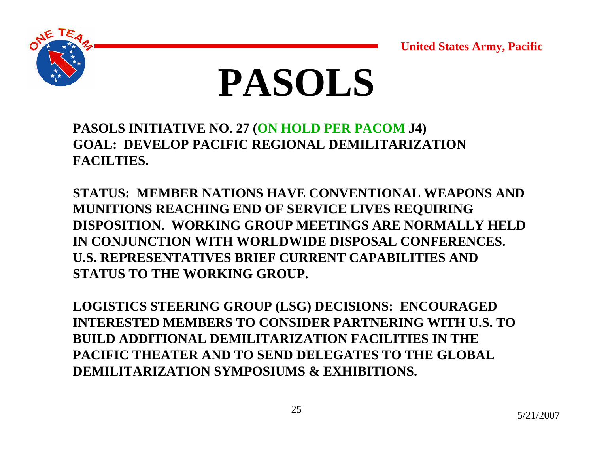



**PASOLS INITIATIVE NO. 27 (ON HOLD PER PACOM J4) GOAL: DEVELOP PACIFIC REGIONAL DEMILITARIZATION FACILTIES.**

**STATUS: MEMBER NATIONS HAVE CONVENTIONAL WEAPONS AND MUNITIONS REACHING END OF SERVICE LIVES REQUIRING DISPOSITION. WORKING GROUP MEETINGS ARE NORMALLY HELD IN CONJUNCTION WITH WORLDWIDE DISPOSAL CONFERENCES. U.S. REPRESENTATIVES BRIEF CURRENT CAPABILITIES AND STATUS TO THE WORKING GROUP.**

**LOGISTICS STEERING GROUP (LSG) DECISIONS: ENCOURAGED INTERESTED MEMBERS TO CONSIDER PARTNERING WITH U.S. TO BUILD ADDITIONAL DEMILITARIZATION FACILITIES IN THE PACIFIC THEATER AND TO SEND DELEGATES TO THE GLOBAL DEMILITARIZATION SYMPOSIUMS & EXHIBITIONS.**